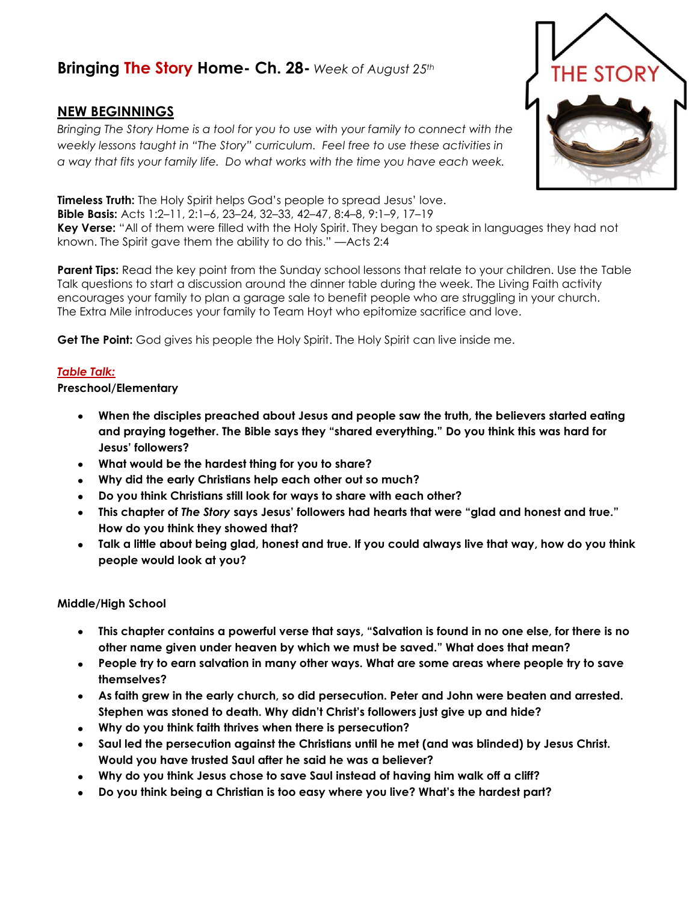# **Bringing The Story Home- Ch. 28-** *Week of August 25th*

## **NEW BEGINNINGS**

*Bringing The Story Home is a tool for you to use with your family to connect with the weekly lessons taught in "The Story" curriculum. Feel free to use these activities in a way that fits your family life. Do what works with the time you have each week.* 



**Timeless Truth:** The Holy Spirit helps God's people to spread Jesus' love.

**Bible Basis:** Acts 1:2–11, 2:1–6, 23–24, 32–33, 42–47, 8:4–8, 9:1–9, 17–19

**Key Verse:** "All of them were filled with the Holy Spirit. They began to speak in languages they had not known. The Spirit gave them the ability to do this." —Acts 2:4

**Parent Tips:** Read the key point from the Sunday school lessons that relate to your children. Use the Table Talk questions to start a discussion around the dinner table during the week. The Living Faith activity encourages your family to plan a garage sale to benefit people who are struggling in your church. The Extra Mile introduces your family to Team Hoyt who epitomize sacrifice and love.

**Get The Point:** God gives his people the Holy Spirit. The Holy Spirit can live inside me.

### *Table Talk:*

### **Preschool/Elementary**

- **When the disciples preached about Jesus and people saw the truth, the believers started eating and praying together. The Bible says they "shared everything." Do you think this was hard for Jesus' followers?**
- **What would be the hardest thing for you to share?**
- **Why did the early Christians help each other out so much?**
- **Do you think Christians still look for ways to share with each other?**
- **This chapter of** *The Story* **says Jesus' followers had hearts that were "glad and honest and true." How do you think they showed that?**
- **Talk a little about being glad, honest and true. If you could always live that way, how do you think people would look at you?**

#### **Middle/High School**

- **This chapter contains a powerful verse that says, "Salvation is found in no one else, for there is no other name given under heaven by which we must be saved." What does that mean?**
- **People try to earn salvation in many other ways. What are some areas where people try to save themselves?**
- **As faith grew in the early church, so did persecution. Peter and John were beaten and arrested. Stephen was stoned to death. Why didn't Christ's followers just give up and hide?**
- **Why do you think faith thrives when there is persecution?**
- **Saul led the persecution against the Christians until he met (and was blinded) by Jesus Christ. Would you have trusted Saul after he said he was a believer?**
- **Why do you think Jesus chose to save Saul instead of having him walk off a cliff?**
- **Do you think being a Christian is too easy where you live? What's the hardest part?**